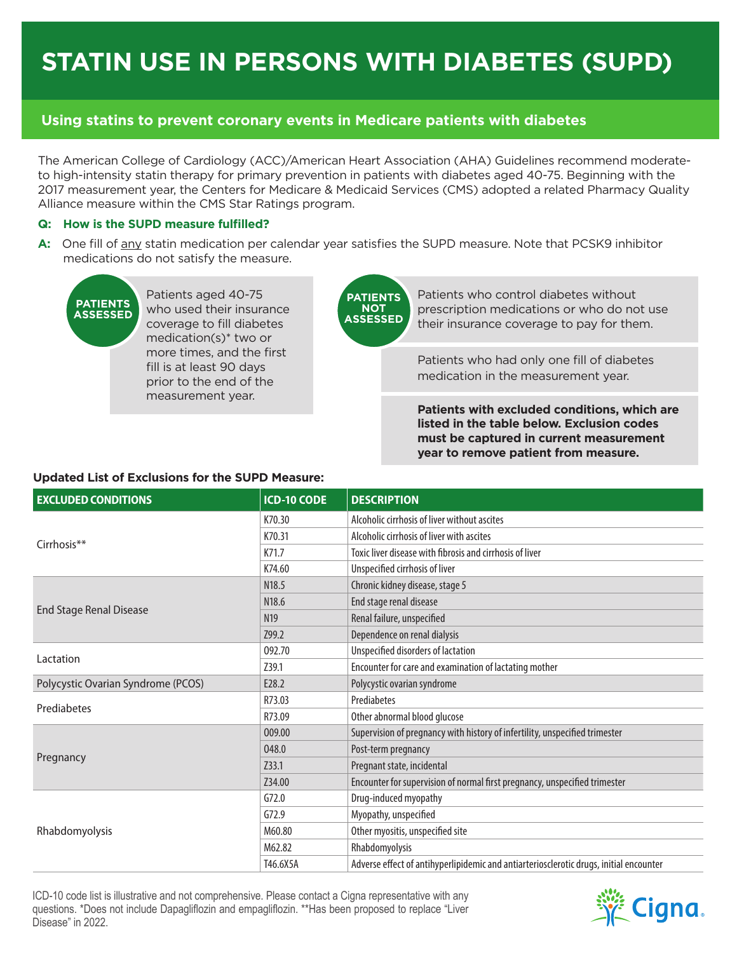# **STATIN USE IN PERSONS WITH DIABETES (SUPD)**

# **Using statins to prevent coronary events in Medicare patients with diabetes**

The American College of Cardiology (ACC)/American Heart Association (AHA) Guidelines recommend moderateto high-intensity statin therapy for primary prevention in patients with diabetes aged 40-75. Beginning with the 2017 measurement year, the Centers for Medicare & Medicaid Services (CMS) adopted a related Pharmacy Quality Alliance measure within the CMS Star Ratings program.

# **Q: How is the SUPD measure fulfilled?**

**A:** One fill of any statin medication per calendar year satisfies the SUPD measure. Note that PCSK9 inhibitor medications do not satisfy the measure.



Patients aged 40-75 who used their insurance coverage to fill diabetes medication(s)\* two or more times, and the first fill is at least 90 days prior to the end of the measurement year.

**PATIENTS NOT ASSESSED**

Patients who control diabetes without prescription medications or who do not use their insurance coverage to pay for them.

Patients who had only one fill of diabetes medication in the measurement year.

**Patients with excluded conditions, which are listed in the table below. Exclusion codes must be captured in current measurement year to remove patient from measure.**

# **Updated List of Exclusions for the SUPD Measure:**

| <b>EXCLUDED CONDITIONS</b>         | <b>ICD-10 CODE</b> | <b>DESCRIPTION</b>                                                                     |  |
|------------------------------------|--------------------|----------------------------------------------------------------------------------------|--|
|                                    | K70.30             | Alcoholic cirrhosis of liver without ascites                                           |  |
| Cirrhosis**                        | K70.31             | Alcoholic cirrhosis of liver with ascites                                              |  |
|                                    | K71.7              | Toxic liver disease with fibrosis and cirrhosis of liver                               |  |
|                                    | K74.60             | Unspecified cirrhosis of liver                                                         |  |
|                                    | N <sub>18.5</sub>  | Chronic kidney disease, stage 5                                                        |  |
| <b>End Stage Renal Disease</b>     | N <sub>18.6</sub>  | End stage renal disease                                                                |  |
|                                    | N <sub>19</sub>    | Renal failure, unspecified                                                             |  |
|                                    | Z99.2              | Dependence on renal dialysis                                                           |  |
| Lactation                          | 092.70             | Unspecified disorders of lactation                                                     |  |
|                                    | Z39.1              | Encounter for care and examination of lactating mother                                 |  |
| Polycystic Ovarian Syndrome (PCOS) | E28.2              | Polycystic ovarian syndrome                                                            |  |
| Prediabetes                        | R73.03             | Prediabetes                                                                            |  |
|                                    | R73.09             | Other abnormal blood glucose                                                           |  |
|                                    | 009.00             | Supervision of pregnancy with history of infertility, unspecified trimester            |  |
| Pregnancy                          | 048.0              | Post-term pregnancy                                                                    |  |
|                                    | Z33.1              | Pregnant state, incidental                                                             |  |
|                                    | Z34.00             | Encounter for supervision of normal first pregnancy, unspecified trimester             |  |
| Rhabdomyolysis                     | G72.0              | Drug-induced myopathy                                                                  |  |
|                                    | G72.9              | Myopathy, unspecified                                                                  |  |
|                                    | M60.80             | Other myositis, unspecified site                                                       |  |
|                                    | M62.82             | Rhabdomyolysis                                                                         |  |
|                                    | T46.6X5A           | Adverse effect of antihyperlipidemic and antiarteriosclerotic drugs, initial encounter |  |

ICD-10 code list is illustrative and not comprehensive. Please contact a Cigna representative with any questions. \*Does not include Dapagliflozin and empagliflozin. \*\*Has been proposed to replace "Liver Disease" in 2022.